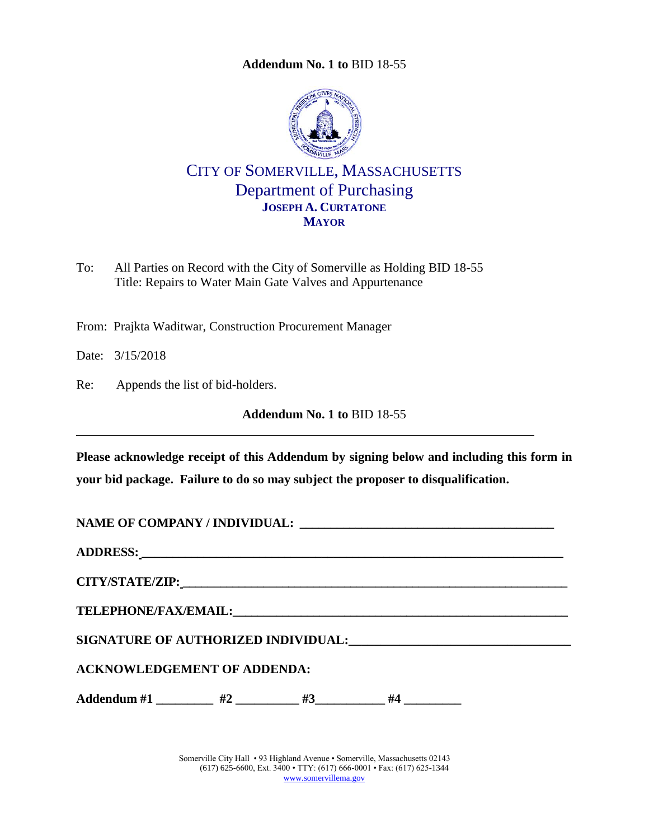**Addendum No. 1 to** [BID 18-55](#page-0-0)

<span id="page-0-0"></span>

CITY OF SOMERVILLE, MASSACHUSETTS Department of Purchasing **JOSEPH A. CURTATONE MAYOR**

To: All Parties on Record with the City of Somerville as Holding BID 18-55 Title: Repairs to Water Main Gate Valves and Appurtenance

From: Prajkta Waditwar, Construction Procurement Manager

Date: 3/15/2018

Re: Appends the list of bid-holders.

**Addendum No. 1 to** [BID 18-55](#page-0-0)

**Please acknowledge receipt of this Addendum by signing below and including this form in your bid package. Failure to do so may subject the proposer to disqualification.**

| <b>ACKNOWLEDGEMENT OF ADDENDA:</b>                       |  |  |  |  |  |  |  |  |
|----------------------------------------------------------|--|--|--|--|--|--|--|--|
| Addendum #1 $\qquad$ #2 $\qquad$ #3 $\qquad$ #4 $\qquad$ |  |  |  |  |  |  |  |  |
|                                                          |  |  |  |  |  |  |  |  |

Somerville City Hall • 93 Highland Avenue • Somerville, Massachusetts 02143 (617) 625-6600, Ext. 3400 • TTY: (617) 666-0001 • Fax: (617) 625-1344 [www.somervillema.gov](http://www.somervillema.gov/)